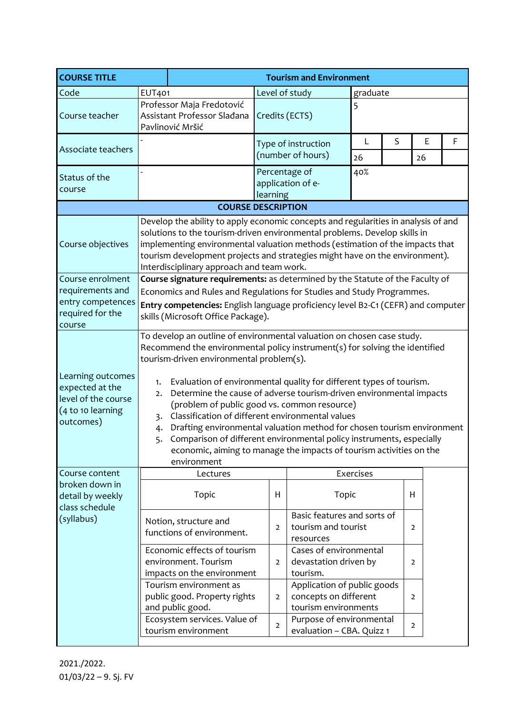| <b>COURSE TITLE</b>                                                                           |                                                                                                                                                                                                                                                                                                                                                                                                                                                                                                                                                                                                                                                                                                                           | <b>Tourism and Environment</b>                                                                                                                                               |                           |                                                                 |           |   |                |  |   |  |  |
|-----------------------------------------------------------------------------------------------|---------------------------------------------------------------------------------------------------------------------------------------------------------------------------------------------------------------------------------------------------------------------------------------------------------------------------------------------------------------------------------------------------------------------------------------------------------------------------------------------------------------------------------------------------------------------------------------------------------------------------------------------------------------------------------------------------------------------------|------------------------------------------------------------------------------------------------------------------------------------------------------------------------------|---------------------------|-----------------------------------------------------------------|-----------|---|----------------|--|---|--|--|
| Code                                                                                          | <b>EUT401</b>                                                                                                                                                                                                                                                                                                                                                                                                                                                                                                                                                                                                                                                                                                             |                                                                                                                                                                              |                           | Level of study<br>graduate                                      |           |   |                |  |   |  |  |
| Course teacher                                                                                | Professor Maja Fredotović<br>5<br>Assistant Professor Sladana<br>Credits (ECTS)<br>Pavlinović Mršić                                                                                                                                                                                                                                                                                                                                                                                                                                                                                                                                                                                                                       |                                                                                                                                                                              |                           |                                                                 |           |   |                |  |   |  |  |
| Associate teachers                                                                            |                                                                                                                                                                                                                                                                                                                                                                                                                                                                                                                                                                                                                                                                                                                           |                                                                                                                                                                              |                           | Type of instruction<br>(number of hours)                        | L<br>26   | S | E<br>26        |  | F |  |  |
| Status of the<br>course                                                                       | $\overline{a}$                                                                                                                                                                                                                                                                                                                                                                                                                                                                                                                                                                                                                                                                                                            |                                                                                                                                                                              | Percentage of<br>learning | application of e-                                               | 40%       |   |                |  |   |  |  |
| <b>COURSE DESCRIPTION</b>                                                                     |                                                                                                                                                                                                                                                                                                                                                                                                                                                                                                                                                                                                                                                                                                                           |                                                                                                                                                                              |                           |                                                                 |           |   |                |  |   |  |  |
| Course objectives                                                                             | Develop the ability to apply economic concepts and regularities in analysis of and<br>solutions to the tourism-driven environmental problems. Develop skills in<br>implementing environmental valuation methods (estimation of the impacts that<br>tourism development projects and strategies might have on the environment).<br>Interdisciplinary approach and team work.                                                                                                                                                                                                                                                                                                                                               |                                                                                                                                                                              |                           |                                                                 |           |   |                |  |   |  |  |
| Course enrolment<br>requirements and<br>entry competences<br>required for the<br>course       | Course signature requirements: as determined by the Statute of the Faculty of<br>Economics and Rules and Regulations for Studies and Study Programmes.<br>Entry competencies: English language proficiency level B2-C1 (CEFR) and computer<br>skills (Microsoft Office Package).                                                                                                                                                                                                                                                                                                                                                                                                                                          |                                                                                                                                                                              |                           |                                                                 |           |   |                |  |   |  |  |
| Learning outcomes<br>expected at the<br>level of the course<br>(4 to 10 learning<br>outcomes) | To develop an outline of environmental valuation on chosen case study.<br>Recommend the environmental policy instrument(s) for solving the identified<br>tourism-driven environmental problem(s).<br>Evaluation of environmental quality for different types of tourism.<br>1.<br>Determine the cause of adverse tourism-driven environmental impacts<br>2.<br>(problem of public good vs. common resource)<br>Classification of different environmental values<br>3.<br>Drafting environmental valuation method for chosen tourism environment<br>4.<br>Comparison of different environmental policy instruments, especially<br>5.<br>economic, aiming to manage the impacts of tourism activities on the<br>environment |                                                                                                                                                                              |                           |                                                                 |           |   |                |  |   |  |  |
| Course content<br>broken down in                                                              |                                                                                                                                                                                                                                                                                                                                                                                                                                                                                                                                                                                                                                                                                                                           | Lectures                                                                                                                                                                     |                           |                                                                 | Exercises |   |                |  |   |  |  |
| detail by weekly<br>class schedule                                                            |                                                                                                                                                                                                                                                                                                                                                                                                                                                                                                                                                                                                                                                                                                                           | Topic                                                                                                                                                                        | H                         | Topic                                                           |           |   | H              |  |   |  |  |
| (syllabus)                                                                                    | Notion, structure and<br>functions of environment.                                                                                                                                                                                                                                                                                                                                                                                                                                                                                                                                                                                                                                                                        |                                                                                                                                                                              | $\overline{2}$            | Basic features and sorts of<br>tourism and tourist<br>resources |           |   | $\overline{2}$ |  |   |  |  |
|                                                                                               |                                                                                                                                                                                                                                                                                                                                                                                                                                                                                                                                                                                                                                                                                                                           | Economic effects of tourism<br>environment. Tourism<br>impacts on the environment                                                                                            | $\overline{2}$            | Cases of environmental<br>devastation driven by<br>tourism.     |           |   | $\overline{2}$ |  |   |  |  |
|                                                                                               |                                                                                                                                                                                                                                                                                                                                                                                                                                                                                                                                                                                                                                                                                                                           | Tourism environment as<br>Application of public goods<br>public good. Property rights<br>concepts on different<br>$\overline{2}$<br>tourism environments<br>and public good. |                           |                                                                 |           |   | $\overline{2}$ |  |   |  |  |
|                                                                                               |                                                                                                                                                                                                                                                                                                                                                                                                                                                                                                                                                                                                                                                                                                                           | Ecosystem services. Value of<br>tourism environment                                                                                                                          | $\overline{2}$            | Purpose of environmental<br>evaluation - CBA. Quizz 1           |           |   | $\overline{2}$ |  |   |  |  |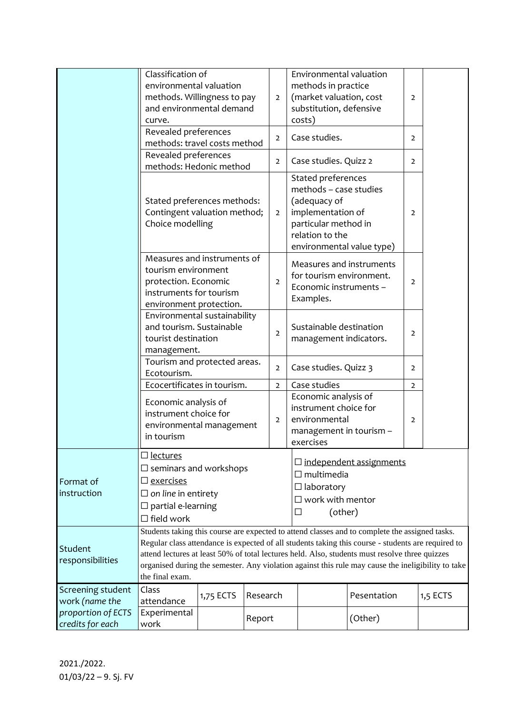|                                        | Classification of<br>environmental valuation<br>methods. Willingness to pay<br>and environmental demand<br>curve.                                                                                                                                                                                                                                                                                                               |                       |        | $\overline{2}$ | Environmental valuation<br>methods in practice<br>(market valuation, cost<br>substitution, defensive<br>costs)               |                                                                                | $\overline{2}$ |          |  |
|----------------------------------------|---------------------------------------------------------------------------------------------------------------------------------------------------------------------------------------------------------------------------------------------------------------------------------------------------------------------------------------------------------------------------------------------------------------------------------|-----------------------|--------|----------------|------------------------------------------------------------------------------------------------------------------------------|--------------------------------------------------------------------------------|----------------|----------|--|
|                                        | Revealed preferences<br>methods: travel costs method                                                                                                                                                                                                                                                                                                                                                                            |                       |        | $\overline{2}$ | Case studies.                                                                                                                |                                                                                | $\overline{2}$ |          |  |
|                                        | Revealed preferences<br>methods: Hedonic method                                                                                                                                                                                                                                                                                                                                                                                 |                       |        | $\overline{2}$ | Case studies. Quizz 2                                                                                                        |                                                                                | $\overline{2}$ |          |  |
|                                        | Stated preferences methods:<br>Contingent valuation method;<br>Choice modelling                                                                                                                                                                                                                                                                                                                                                 |                       |        | $\overline{2}$ | Stated preferences<br>methods - case studies<br>(adequacy of<br>implementation of<br>particular method in<br>relation to the | environmental value type)                                                      | $\overline{2}$ |          |  |
|                                        | Measures and instruments of<br>tourism environment<br>protection. Economic<br>instruments for tourism<br>environment protection.                                                                                                                                                                                                                                                                                                |                       |        | $\overline{2}$ | Examples.                                                                                                                    | Measures and instruments<br>for tourism environment.<br>Economic instruments - | $\overline{2}$ |          |  |
|                                        | Environmental sustainability<br>and tourism. Sustainable<br>tourist destination<br>management.                                                                                                                                                                                                                                                                                                                                  |                       |        | $\overline{2}$ | Sustainable destination                                                                                                      | management indicators.                                                         | $\overline{2}$ |          |  |
|                                        | Tourism and protected areas.<br>$\overline{2}$<br>Ecotourism.                                                                                                                                                                                                                                                                                                                                                                   |                       |        |                | Case studies. Quizz 3<br>$\overline{2}$                                                                                      |                                                                                |                |          |  |
|                                        | Ecocertificates in tourism.<br>$\overline{2}$                                                                                                                                                                                                                                                                                                                                                                                   |                       |        |                | Case studies                                                                                                                 |                                                                                | $\overline{2}$ |          |  |
|                                        | Economic analysis of<br>instrument choice for<br>$\overline{2}$<br>environmental management<br>in tourism                                                                                                                                                                                                                                                                                                                       |                       |        |                | Economic analysis of<br>instrument choice for<br>environmental<br>$\overline{2}$<br>management in tourism -<br>exercises     |                                                                                |                |          |  |
| Format of<br>instruction               | $\square$ lectures<br>$\Box$ seminars and workshops<br>$\square$ exercises<br>$\Box$ on line in entirety<br>$\square$ partial e-learning<br>$\Box$ field work                                                                                                                                                                                                                                                                   |                       |        |                | $\square$ independent assignments<br>$\Box$ multimedia<br>$\Box$ laboratory<br>$\square$ work with mentor<br>(other)<br>□    |                                                                                |                |          |  |
| Student<br>responsibilities            | Students taking this course are expected to attend classes and to complete the assigned tasks.<br>Regular class attendance is expected of all students taking this course - students are required to<br>attend lectures at least 50% of total lectures held. Also, students must resolve three quizzes<br>organised during the semester. Any violation against this rule may cause the ineligibility to take<br>the final exam. |                       |        |                |                                                                                                                              |                                                                                |                |          |  |
| Screening student<br>work (name the    | Class<br>attendance                                                                                                                                                                                                                                                                                                                                                                                                             | Research<br>1,75 ECTS |        |                | Pesentation                                                                                                                  |                                                                                |                | 1,5 ECTS |  |
| proportion of ECTS<br>credits for each | Experimental<br>work                                                                                                                                                                                                                                                                                                                                                                                                            |                       | Report |                |                                                                                                                              | (Other)                                                                        |                |          |  |